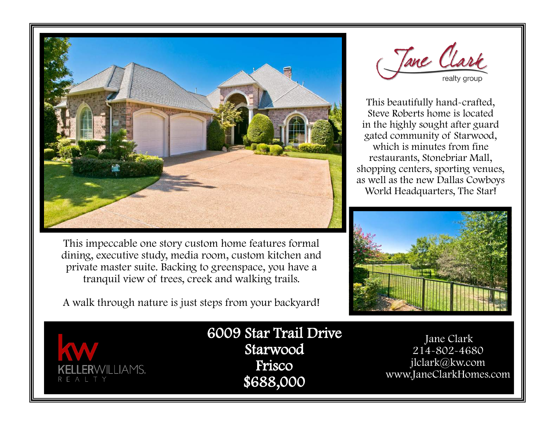

This impeccable one story custom home features formal dining, executive study, media room, custom kitchen and private master suite. Backing to greenspace, you have a tranquil view of trees, creek and walking trails.

A walk through nature is just steps from your backyard!

Jane Clark

This beautifully hand-crafted, Steve Roberts home is located in the highly sought after guard gated community of Starwood, which is minutes from fine restaurants, Stonebriar Mall, shopping centers, sporting venues, as well as the new Dallas Cowboys World Headquarters, The Star!





6009 Star Trail Drive Starwood Frisco \$688,000

 Jane Clark 214-802-4680 jlclark@kw.com www.JaneClarkHomes.com